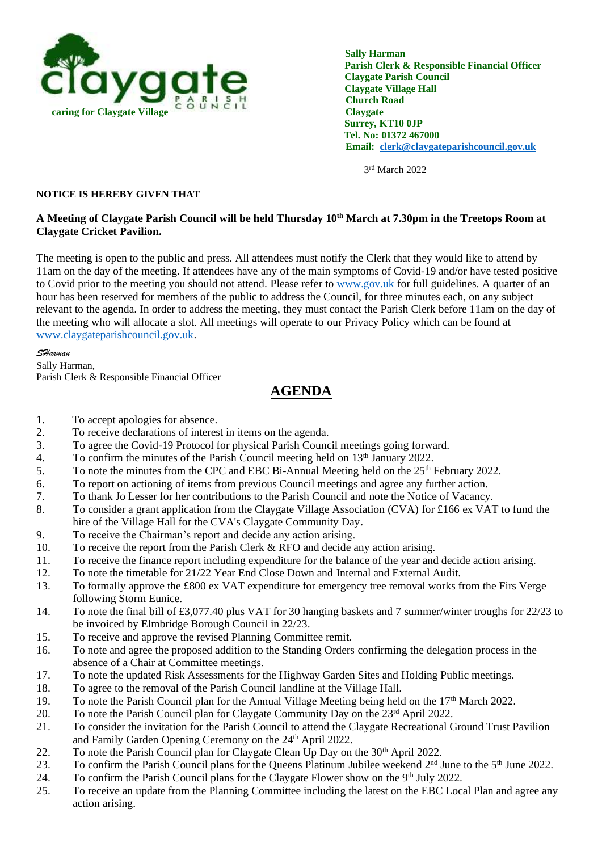

 **Sally Harman Parish Clerk & Responsible Financial Officer Claygate Parish Council Claygate Village Hall Church Road Tel. No: 01372 467000 Email: [clerk@claygateparishcouncil.gov.uk](mailto:clerk@claygateparishcouncil.gov.uk)**

3 rd March 2022

## **NOTICE IS HEREBY GIVEN THAT**

## **A Meeting of Claygate Parish Council will be held Thursday 10th March at 7.30pm in the Treetops Room at Claygate Cricket Pavilion.**

The meeting is open to the public and press. All attendees must notify the Clerk that they would like to attend by 11am on the day of the meeting. If attendees have any of the main symptoms of Covid-19 and/or have tested positive to Covid prior to the meeting you should not attend. Please refer to [www.gov.uk](http://www.gov.uk/) for full guidelines. A quarter of an hour has been reserved for members of the public to address the Council, for three minutes each, on any subject relevant to the agenda. In order to address the meeting, they must contact the Parish Clerk before 11am on the day of the meeting who will allocate a slot. All meetings will operate to our Privacy Policy which can be found at [www.claygateparishcouncil.gov.uk.](http://www.claygateparishcouncil.gov.uk/)

*SHarman*

Sally Harman, Parish Clerk & Responsible Financial Officer

## **AGENDA**

- 1. To accept apologies for absence.
- 2. To receive declarations of interest in items on the agenda.
- 3. To agree the Covid-19 Protocol for physical Parish Council meetings going forward.
- 4. To confirm the minutes of the Parish Council meeting held on 13<sup>th</sup> January 2022.
- 5. To note the minutes from the CPC and EBC Bi-Annual Meeting held on the 25th February 2022.
- 6. To report on actioning of items from previous Council meetings and agree any further action.
- 7. To thank Jo Lesser for her contributions to the Parish Council and note the Notice of Vacancy.
- 8. To consider a grant application from the Claygate Village Association (CVA) for £166 ex VAT to fund the hire of the Village Hall for the CVA's Claygate Community Day.
- 9. To receive the Chairman's report and decide any action arising.
- 10. To receive the report from the Parish Clerk & RFO and decide any action arising.
- 11. To receive the finance report including expenditure for the balance of the year and decide action arising.
- 12. To note the timetable for 21/22 Year End Close Down and Internal and External Audit.
- 13. To formally approve the £800 ex VAT expenditure for emergency tree removal works from the Firs Verge following Storm Eunice.
- 14.To note the final bill of £3,077.40 plus VAT for 30 hanging baskets and 7 summer/winter troughs for 22/23 to be invoiced by Elmbridge Borough Council in 22/23.
- 15. To receive and approve the revised Planning Committee remit.
- 16. To note and agree the proposed addition to the Standing Orders confirming the delegation process in the absence of a Chair at Committee meetings.
- 17. To note the updated Risk Assessments for the Highway Garden Sites and Holding Public meetings.
- 18. To agree to the removal of the Parish Council landline at the Village Hall.
- 19. To note the Parish Council plan for the Annual Village Meeting being held on the 17<sup>th</sup> March 2022.
- 20. To note the Parish Council plan for Claygate Community Day on the 23rd April 2022.
- 21. To consider the invitation for the Parish Council to attend the Claygate Recreational Ground Trust Pavilion and Family Garden Opening Ceremony on the 24th April 2022.
- 22. To note the Parish Council plan for Claygate Clean Up Day on the 30<sup>th</sup> April 2022.
- 23. To confirm the Parish Council plans for the Queens Platinum Jubilee weekend 2<sup>nd</sup> June to the 5<sup>th</sup> June 2022.
- 24. To confirm the Parish Council plans for the Claygate Flower show on the 9th July 2022.
- 25. To receive an update from the Planning Committee including the latest on the EBC Local Plan and agree any action arising.